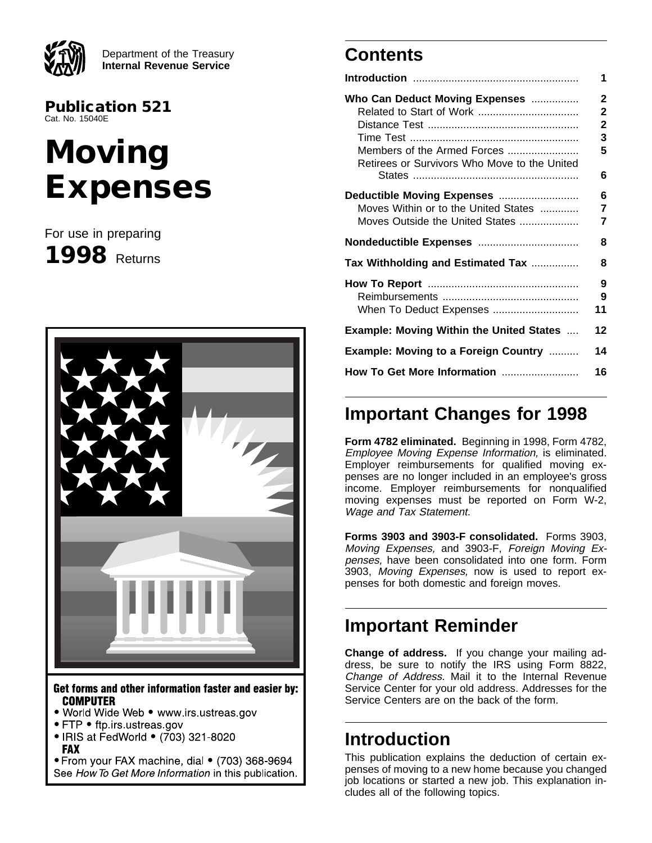

Department of the Treasury **Internal Revenue Service**

**Publication 521** Cat. No. 15040E

# **Moving Expenses**

For use in preparing **1998** Returns



Get forms and other information faster and easier by: **COMPUTER** 

- . World Wide Web www.irs.ustreas.gov
- FTP ftp.irs.ustreas.gov
- IRIS at FedWorld (703) 321-8020 **FAX**

• From your FAX machine, dial • (703) 368-9694 See How To Get More Information in this publication.

# **Contents**

|                                                                                                               | 1                                     |
|---------------------------------------------------------------------------------------------------------------|---------------------------------------|
| Who Can Deduct Moving Expenses<br>Members of the Armed Forces<br>Retirees or Survivors Who Move to the United | 2<br>$\mathbf{2}$<br>2<br>3<br>5<br>6 |
| Deductible Moving Expenses<br>Moves Within or to the United States<br>Moves Outside the United States         | 6<br>7<br>7                           |
|                                                                                                               | 8                                     |
| Tax Withholding and Estimated Tax                                                                             | 8                                     |
| When To Deduct Expenses                                                                                       | 9<br>9<br>11                          |
| <b>Example: Moving Within the United States </b>                                                              | $12 \,$                               |
|                                                                                                               |                                       |
| <b>Example: Moving to a Foreign Country </b>                                                                  | 14                                    |

# **Important Changes for 1998**

**Form 4782 eliminated.** Beginning in 1998, Form 4782, Employee Moving Expense Information, is eliminated. Employer reimbursements for qualified moving expenses are no longer included in an employee's gross income. Employer reimbursements for nonqualified moving expenses must be reported on Form W-2, Wage and Tax Statement.

**Forms 3903 and 3903-F consolidated.** Forms 3903, Moving Expenses, and 3903-F, Foreign Moving Expenses, have been consolidated into one form. Form 3903, Moving Expenses, now is used to report expenses for both domestic and foreign moves.

# **Important Reminder**

**Change of address.** If you change your mailing address, be sure to notify the IRS using Form 8822, Change of Address. Mail it to the Internal Revenue Service Center for your old address. Addresses for the Service Centers are on the back of the form.

## **Introduction**

This publication explains the deduction of certain expenses of moving to a new home because you changed job locations or started a new job. This explanation includes all of the following topics.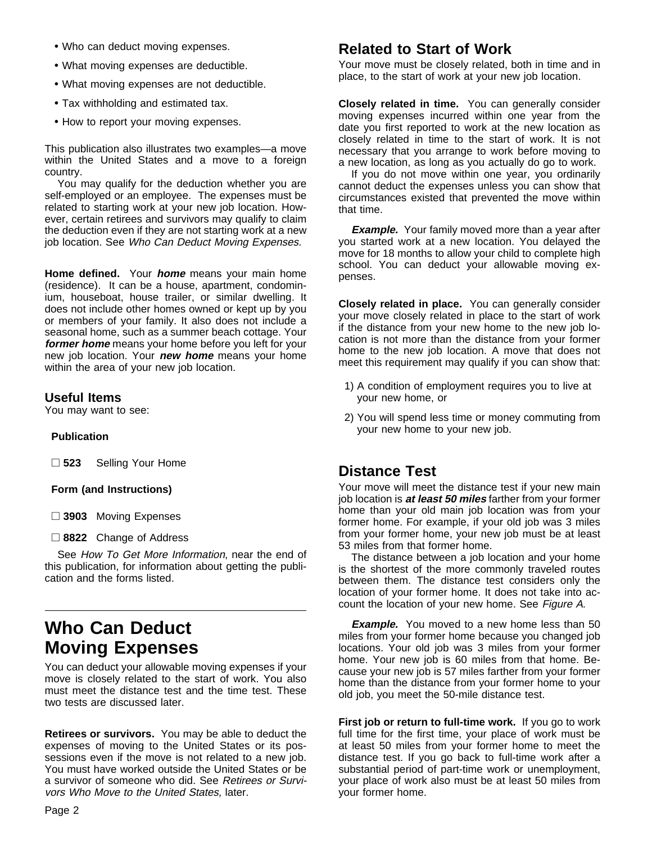- Who can deduct moving expenses.
- What moving expenses are deductible.
- What moving expenses are not deductible.
- Tax withholding and estimated tax.
- How to report your moving expenses.

This publication also illustrates two examples—a move within the United States and a move to a foreign country.

You may qualify for the deduction whether you are self-employed or an employee. The expenses must be related to starting work at your new job location. However, certain retirees and survivors may qualify to claim the deduction even if they are not starting work at a new job location. See Who Can Deduct Moving Expenses.

**Home defined.** Your **home** means your main home (residence). It can be a house, apartment, condominium, houseboat, house trailer, or similar dwelling. It does not include other homes owned or kept up by you or members of your family. It also does not include a seasonal home, such as a summer beach cottage. Your **former home** means your home before you left for your new job location. Your **new home** means your home within the area of your new job location.

### **Useful Items**

You may want to see:

#### **Publication**

□ 523 Selling Your Home

#### **Form (and Instructions)**

□ 3903 Moving Expenses

□ 8822 Change of Address

See How To Get More Information, near the end of this publication, for information about getting the publication and the forms listed.

# **Who Can Deduct Moving Expenses**

You can deduct your allowable moving expenses if your move is closely related to the start of work. You also must meet the distance test and the time test. These two tests are discussed later.

**Retirees or survivors.** You may be able to deduct the expenses of moving to the United States or its possessions even if the move is not related to a new job. You must have worked outside the United States or be a survivor of someone who did. See Retirees or Survivors Who Move to the United States, later.

### **Related to Start of Work**

Your move must be closely related, both in time and in place, to the start of work at your new job location.

**Closely related in time.** You can generally consider moving expenses incurred within one year from the date you first reported to work at the new location as closely related in time to the start of work. It is not necessary that you arrange to work before moving to a new location, as long as you actually do go to work.

If you do not move within one year, you ordinarily cannot deduct the expenses unless you can show that circumstances existed that prevented the move within that time.

**Example.** Your family moved more than a year after you started work at a new location. You delayed the move for 18 months to allow your child to complete high school. You can deduct your allowable moving expenses.

**Closely related in place.** You can generally consider your move closely related in place to the start of work if the distance from your new home to the new job location is not more than the distance from your former home to the new job location. A move that does not meet this requirement may qualify if you can show that:

- 1) A condition of employment requires you to live at your new home, or
- 2) You will spend less time or money commuting from your new home to your new job.

### **Distance Test**

Your move will meet the distance test if your new main job location is **at least 50 miles** farther from your former home than your old main job location was from your former home. For example, if your old job was 3 miles from your former home, your new job must be at least 53 miles from that former home.

The distance between a job location and your home is the shortest of the more commonly traveled routes between them. The distance test considers only the location of your former home. It does not take into account the location of your new home. See Figure A.

**Example.** You moved to a new home less than 50 miles from your former home because you changed job locations. Your old job was 3 miles from your former home. Your new job is 60 miles from that home. Because your new job is 57 miles farther from your former home than the distance from your former home to your old job, you meet the 50-mile distance test.

**First job or return to full-time work.** If you go to work full time for the first time, your place of work must be at least 50 miles from your former home to meet the distance test. If you go back to full-time work after a substantial period of part-time work or unemployment, your place of work also must be at least 50 miles from your former home.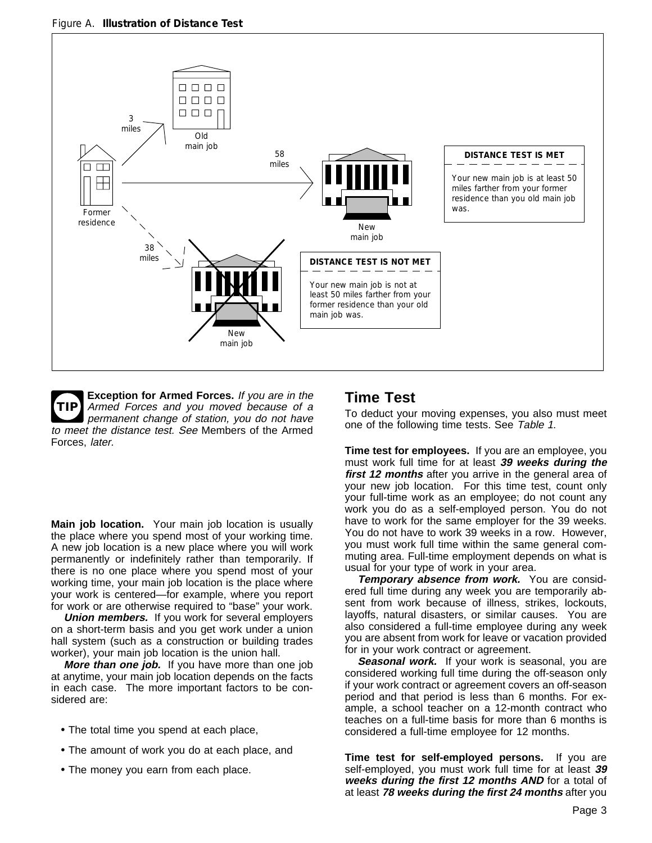

**TIP Exception for Armed Forces.** If you are in the Armed Forces and you moved because of a permanent change of station, you do not have to meet the distance test. See Members of the Armed Forces, later.

**Main job location.** Your main job location is usually the place where you spend most of your working time. A new job location is a new place where you will work permanently or indefinitely rather than temporarily. If there is no one place where you spend most of your working time, your main job location is the place where your work is centered—for example, where you report for work or are otherwise required to "base" your work.

**Union members.** If you work for several employers on a short-term basis and you get work under a union hall system (such as a construction or building trades worker), your main job location is the union hall.

**More than one job.** If you have more than one job at anytime, your main job location depends on the facts in each case. The more important factors to be considered are:

- The total time you spend at each place,
- The amount of work you do at each place, and
- The money you earn from each place.

### **Time Test**

To deduct your moving expenses, you also must meet one of the following time tests. See Table 1.

**Time test for employees.** If you are an employee, you must work full time for at least **39 weeks during the first 12 months** after you arrive in the general area of your new job location. For this time test, count only your full-time work as an employee; do not count any work you do as a self-employed person. You do not have to work for the same employer for the 39 weeks. You do not have to work 39 weeks in a row. However, you must work full time within the same general commuting area. Full-time employment depends on what is usual for your type of work in your area.

**Temporary absence from work.** You are considered full time during any week you are temporarily absent from work because of illness, strikes, lockouts, layoffs, natural disasters, or similar causes. You are also considered a full-time employee during any week you are absent from work for leave or vacation provided for in your work contract or agreement.

**Seasonal work.** If your work is seasonal, you are considered working full time during the off-season only if your work contract or agreement covers an off-season period and that period is less than 6 months. For example, a school teacher on a 12-month contract who teaches on a full-time basis for more than 6 months is considered a full-time employee for 12 months.

**Time test for self-employed persons.** If you are self-employed, you must work full time for at least **39 weeks during the first 12 months AND** for a total of at least **78 weeks during the first 24 months** after you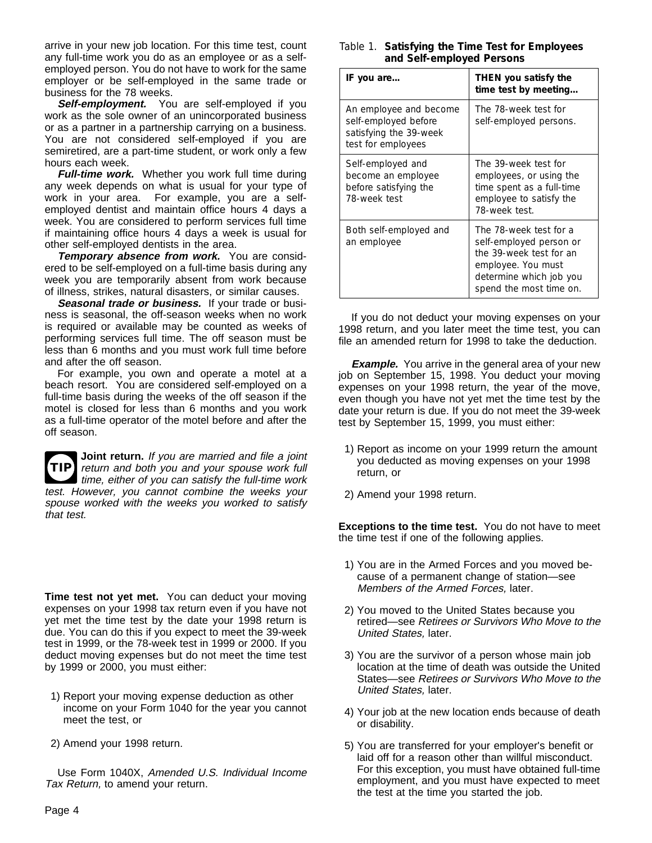arrive in your new job location. For this time test, count any full-time work you do as an employee or as a selfemployed person. You do not have to work for the same employer or be self-employed in the same trade or business for the 78 weeks.

**Self-employment.** You are self-employed if you work as the sole owner of an unincorporated business or as a partner in a partnership carrying on a business. You are not considered self-employed if you are semiretired, are a part-time student, or work only a few hours each week.

**Full-time work.** Whether you work full time during any week depends on what is usual for your type of work in your area. For example, you are a selfemployed dentist and maintain office hours 4 days a week. You are considered to perform services full time if maintaining office hours 4 days a week is usual for other self-employed dentists in the area.

**Temporary absence from work.** You are considered to be self-employed on a full-time basis during any week you are temporarily absent from work because of illness, strikes, natural disasters, or similar causes.

**Seasonal trade or business.** If your trade or business is seasonal, the off-season weeks when no work is required or available may be counted as weeks of performing services full time. The off season must be less than 6 months and you must work full time before and after the off season.

For example, you own and operate a motel at a beach resort. You are considered self-employed on a full-time basis during the weeks of the off season if the motel is closed for less than 6 months and you work as a full-time operator of the motel before and after the off season.

**TIP** return and both you and your spouse work full **Joint return.** If you are married and file a joint time, either of you can satisfy the full-time work test. However, you cannot combine the weeks your spouse worked with the weeks you worked to satisfy that test.

**Time test not yet met.** You can deduct your moving expenses on your 1998 tax return even if you have not yet met the time test by the date your 1998 return is due. You can do this if you expect to meet the 39-week test in 1999, or the 78-week test in 1999 or 2000. If you deduct moving expenses but do not meet the time test by 1999 or 2000, you must either:

- 1) Report your moving expense deduction as other income on your Form 1040 for the year you cannot meet the test, or
- 2) Amend your 1998 return.

Use Form 1040X, Amended U.S. Individual Income Tax Return, to amend your return.

| Table 1. Satisfying the Time Test for Employees |
|-------------------------------------------------|
| and Self-employed Persons                       |

| IF you are                                                                                     | THEN you satisfy the<br>time test by meeting                                                                                                             |  |  |
|------------------------------------------------------------------------------------------------|----------------------------------------------------------------------------------------------------------------------------------------------------------|--|--|
| An employee and become<br>self-employed before<br>satisfying the 39-week<br>test for employees | The 78-week test for<br>self-employed persons.                                                                                                           |  |  |
| Self-employed and<br>become an employee<br>before satisfying the<br>78-week test               | The 39-week test for<br>employees, or using the<br>time spent as a full-time<br>employee to satisfy the<br>78-week test.                                 |  |  |
| Both self-employed and<br>an employee                                                          | The 78-week test for a<br>self-employed person or<br>the 39-week test for an<br>employee. You must<br>determine which job you<br>spend the most time on. |  |  |

If you do not deduct your moving expenses on your 1998 return, and you later meet the time test, you can file an amended return for 1998 to take the deduction.

**Example.** You arrive in the general area of your new job on September 15, 1998. You deduct your moving expenses on your 1998 return, the year of the move, even though you have not yet met the time test by the date your return is due. If you do not meet the 39-week test by September 15, 1999, you must either:

- 1) Report as income on your 1999 return the amount you deducted as moving expenses on your 1998 return, or
- 2) Amend your 1998 return.

**Exceptions to the time test.** You do not have to meet the time test if one of the following applies.

- 1) You are in the Armed Forces and you moved because of a permanent change of station—see Members of the Armed Forces, later.
- 2) You moved to the United States because you retired—see Retirees or Survivors Who Move to the United States, later.
- 3) You are the survivor of a person whose main job location at the time of death was outside the United States—see Retirees or Survivors Who Move to the United States, later.
- 4) Your job at the new location ends because of death or disability.
- 5) You are transferred for your employer's benefit or laid off for a reason other than willful misconduct. For this exception, you must have obtained full-time employment, and you must have expected to meet the test at the time you started the job.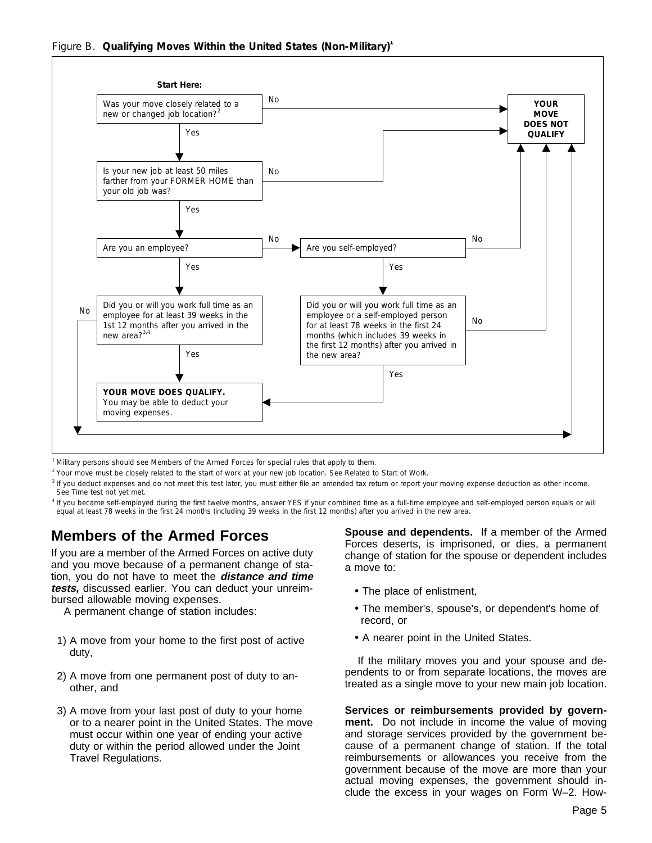

<sup>1</sup> Military persons should see *Members of the Armed Forces* for special rules that apply to them.

<sup>2</sup> Your move must be closely related to the start of work at your new job location. See *Related to Start of Work.*

 $3$  If you deduct expenses and do not meet this test later, you must either file an amended tax return or report your moving expense deduction as other income. See *Time test not yet met.*

<sup>4</sup> If you became self-employed during the first twelve months, answer YES if your combined time as a full-time employee and self-employed person equals or will equal at least 78 weeks in the first 24 months (including 39 weeks in the first 12 months) after you arrived in the new area.

### **Members of the Armed Forces**

If you are a member of the Armed Forces on active duty and you move because of a permanent change of station, you do not have to meet the **distance and time tests,** discussed earlier. You can deduct your unreimbursed allowable moving expenses.

A permanent change of station includes:

- 1) A move from your home to the first post of active duty,
- 2) A move from one permanent post of duty to another, and
- 3) A move from your last post of duty to your home or to a nearer point in the United States. The move must occur within one year of ending your active duty or within the period allowed under the Joint Travel Regulations.

**Spouse and dependents.** If a member of the Armed Forces deserts, is imprisoned, or dies, a permanent change of station for the spouse or dependent includes a move to:

- The place of enlistment,
- The member's, spouse's, or dependent's home of record, or
- A nearer point in the United States.

If the military moves you and your spouse and dependents to or from separate locations, the moves are treated as a single move to your new main job location.

**Services or reimbursements provided by government.** Do not include in income the value of moving and storage services provided by the government because of a permanent change of station. If the total reimbursements or allowances you receive from the government because of the move are more than your actual moving expenses, the government should include the excess in your wages on Form W–2. How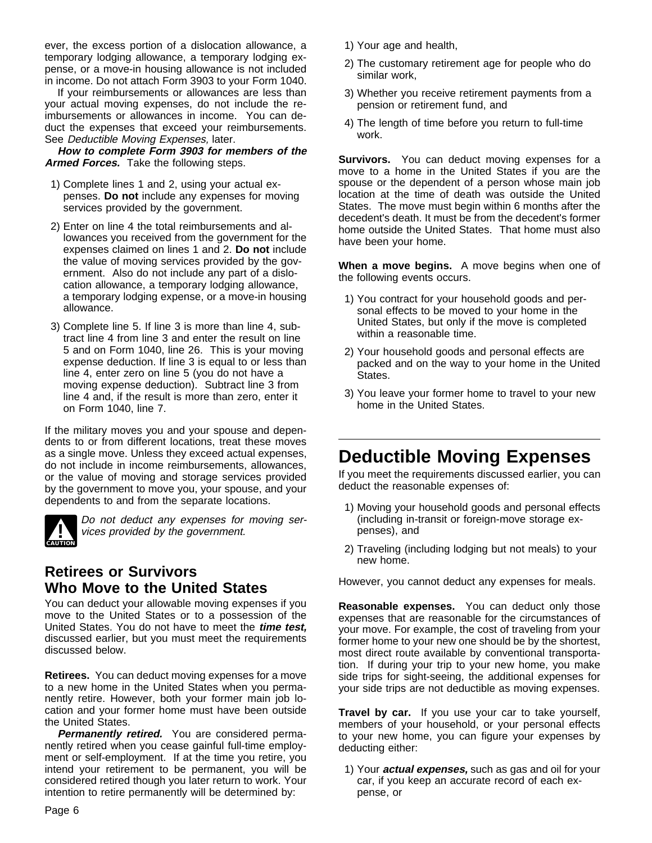ever, the excess portion of a dislocation allowance, a temporary lodging allowance, a temporary lodging expense, or a move-in housing allowance is not included in income. Do not attach Form 3903 to your Form 1040.

If your reimbursements or allowances are less than your actual moving expenses, do not include the reimbursements or allowances in income. You can deduct the expenses that exceed your reimbursements. See Deductible Moving Expenses, later.

**How to complete Form 3903 for members of the Armed Forces.** Take the following steps.

- 1) Complete lines 1 and 2, using your actual expenses. **Do not** include any expenses for moving services provided by the government.
- 2) Enter on line 4 the total reimbursements and allowances you received from the government for the expenses claimed on lines 1 and 2. **Do not** include the value of moving services provided by the government. Also do not include any part of a dislocation allowance, a temporary lodging allowance, a temporary lodging expense, or a move-in housing allowance.
- 3) Complete line 5. If line 3 is more than line 4, subtract line 4 from line 3 and enter the result on line 5 and on Form 1040, line 26. This is your moving expense deduction. If line 3 is equal to or less than line 4, enter zero on line 5 (you do not have a moving expense deduction). Subtract line 3 from line 4 and, if the result is more than zero, enter it on Form 1040, line 7.

If the military moves you and your spouse and dependents to or from different locations, treat these moves as a single move. Unless they exceed actual expenses, do not include in income reimbursements, allowances, or the value of moving and storage services provided by the government to move you, your spouse, and your dependents to and from the separate locations.



**!** Do not deduct any expenses for moving services provided by the government.

### **Retirees or Survivors Who Move to the United States**

You can deduct your allowable moving expenses if you move to the United States or to a possession of the United States. You do not have to meet the **time test,** discussed earlier, but you must meet the requirements discussed below.

**Retirees.** You can deduct moving expenses for a move to a new home in the United States when you permanently retire. However, both your former main job location and your former home must have been outside the United States.

**Permanently retired.** You are considered permanently retired when you cease gainful full-time employment or self-employment. If at the time you retire, you intend your retirement to be permanent, you will be considered retired though you later return to work. Your intention to retire permanently will be determined by:

- 1) Your age and health,
- 2) The customary retirement age for people who do similar work,
- 3) Whether you receive retirement payments from a pension or retirement fund, and
- 4) The length of time before you return to full-time work.

**Survivors.** You can deduct moving expenses for a move to a home in the United States if you are the spouse or the dependent of a person whose main job location at the time of death was outside the United States. The move must begin within 6 months after the decedent's death. It must be from the decedent's former home outside the United States. That home must also have been your home.

**When a move begins.** A move begins when one of the following events occurs.

- 1) You contract for your household goods and personal effects to be moved to your home in the United States, but only if the move is completed within a reasonable time.
- 2) Your household goods and personal effects are packed and on the way to your home in the United States.
- 3) You leave your former home to travel to your new home in the United States.

# **Deductible Moving Expenses**

If you meet the requirements discussed earlier, you can deduct the reasonable expenses of:

- 1) Moving your household goods and personal effects (including in-transit or foreign-move storage expenses), and
- 2) Traveling (including lodging but not meals) to your new home.

However, you cannot deduct any expenses for meals.

**Reasonable expenses.** You can deduct only those expenses that are reasonable for the circumstances of your move. For example, the cost of traveling from your former home to your new one should be by the shortest, most direct route available by conventional transportation. If during your trip to your new home, you make side trips for sight-seeing, the additional expenses for your side trips are not deductible as moving expenses.

**Travel by car.** If you use your car to take yourself, members of your household, or your personal effects to your new home, you can figure your expenses by deducting either:

1) Your **actual expenses,** such as gas and oil for your car, if you keep an accurate record of each expense, or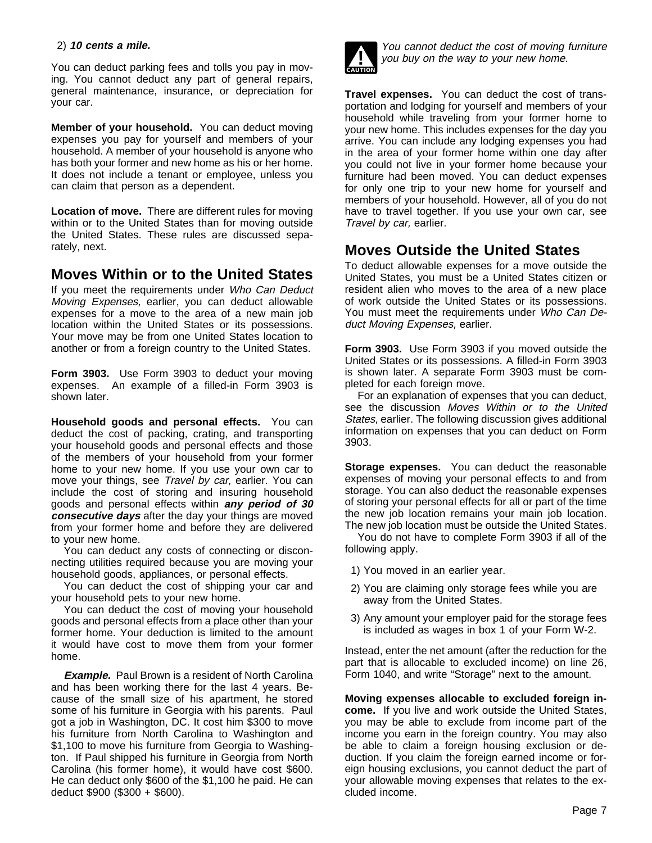#### 2) **10 cents a mile.**

You can deduct parking fees and tolls you pay in moving. You cannot deduct any part of general repairs, general maintenance, insurance, or depreciation for your car.

**Member of your household.** You can deduct moving expenses you pay for yourself and members of your household. A member of your household is anyone who has both your former and new home as his or her home. It does not include a tenant or employee, unless you can claim that person as a dependent.

**Location of move.** There are different rules for moving within or to the United States than for moving outside the United States. These rules are discussed separately, next.

### **Moves Within or to the United States**

If you meet the requirements under Who Can Deduct Moving Expenses, earlier, you can deduct allowable expenses for a move to the area of a new main job location within the United States or its possessions. Your move may be from one United States location to another or from a foreign country to the United States.

**Form 3903.** Use Form 3903 to deduct your moving expenses. An example of a filled-in Form 3903 is shown later.

**Household goods and personal effects.** You can deduct the cost of packing, crating, and transporting your household goods and personal effects and those of the members of your household from your former home to your new home. If you use your own car to move your things, see Travel by car, earlier. You can include the cost of storing and insuring household goods and personal effects within **any period of 30 consecutive days** after the day your things are moved from your former home and before they are delivered to your new home.

You can deduct any costs of connecting or disconnecting utilities required because you are moving your household goods, appliances, or personal effects.

You can deduct the cost of shipping your car and your household pets to your new home.

You can deduct the cost of moving your household goods and personal effects from a place other than your former home. Your deduction is limited to the amount it would have cost to move them from your former home.

**Example.** Paul Brown is a resident of North Carolina and has been working there for the last 4 years. Because of the small size of his apartment, he stored some of his furniture in Georgia with his parents. Paul got a job in Washington, DC. It cost him \$300 to move his furniture from North Carolina to Washington and \$1,100 to move his furniture from Georgia to Washington. If Paul shipped his furniture in Georgia from North Carolina (his former home), it would have cost \$600. He can deduct only \$600 of the \$1,100 he paid. He can deduct \$900 (\$300 + \$600).



**!** You cannot deduct the cost of moving furniture you buy on the way to your new home.

**Travel expenses.** You can deduct the cost of transportation and lodging for yourself and members of your household while traveling from your former home to your new home. This includes expenses for the day you arrive. You can include any lodging expenses you had in the area of your former home within one day after you could not live in your former home because your furniture had been moved. You can deduct expenses for only one trip to your new home for yourself and members of your household. However, all of you do not have to travel together. If you use your own car, see Travel by car, earlier.

### **Moves Outside the United States**

To deduct allowable expenses for a move outside the United States, you must be a United States citizen or resident alien who moves to the area of a new place of work outside the United States or its possessions. You must meet the requirements under Who Can Deduct Moving Expenses, earlier.

**Form 3903.** Use Form 3903 if you moved outside the United States or its possessions. A filled-in Form 3903 is shown later. A separate Form 3903 must be completed for each foreign move.

For an explanation of expenses that you can deduct, see the discussion Moves Within or to the United States, earlier. The following discussion gives additional information on expenses that you can deduct on Form 3903.

**Storage expenses.** You can deduct the reasonable expenses of moving your personal effects to and from storage. You can also deduct the reasonable expenses of storing your personal effects for all or part of the time the new job location remains your main job location. The new job location must be outside the United States.

You do not have to complete Form 3903 if all of the following apply.

- 1) You moved in an earlier year.
- 2) You are claiming only storage fees while you are away from the United States.
- 3) Any amount your employer paid for the storage fees is included as wages in box 1 of your Form W-2.

Instead, enter the net amount (after the reduction for the part that is allocable to excluded income) on line 26, Form 1040, and write "Storage" next to the amount.

**Moving expenses allocable to excluded foreign income.** If you live and work outside the United States, you may be able to exclude from income part of the income you earn in the foreign country. You may also be able to claim a foreign housing exclusion or deduction. If you claim the foreign earned income or foreign housing exclusions, you cannot deduct the part of your allowable moving expenses that relates to the excluded income.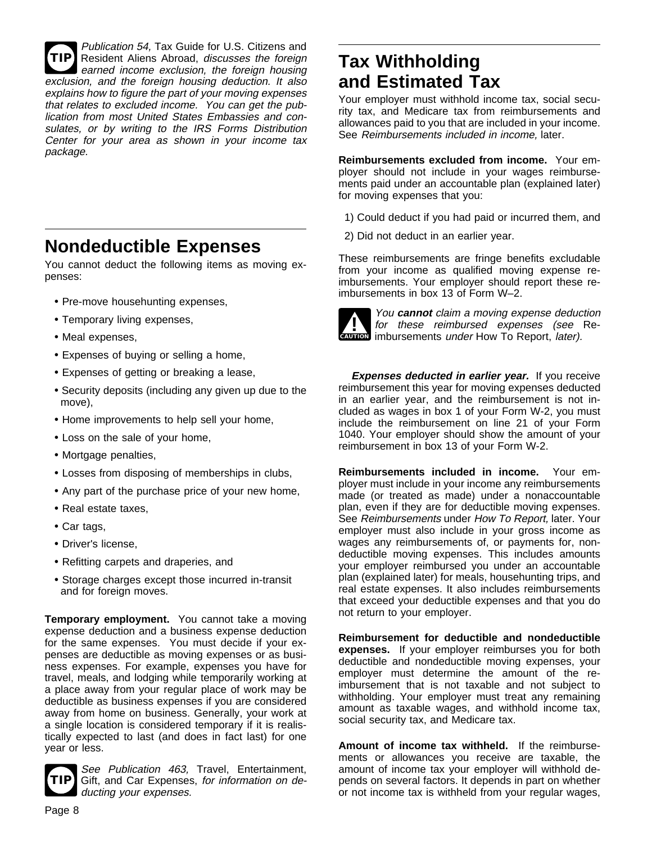**TIP** Publication 54, Tax Guide for U.S. Citizens and Resident Aliens Abroad, discusses the foreign earned income exclusion, the foreign housing exclusion, and the foreign housing deduction. It also explains how to figure the part of your moving expenses that relates to excluded income. You can get the publication from most United States Embassies and consulates, or by writing to the IRS Forms Distribution Center for your area as shown in your income tax package.

# **Nondeductible Expenses**

You cannot deduct the following items as moving expenses:

- Pre-move househunting expenses,
- Temporary living expenses,
- Meal expenses,
- Expenses of buying or selling a home,
- Expenses of getting or breaking a lease,
- Security deposits (including any given up due to the move),
- Home improvements to help sell your home,
- Loss on the sale of your home,
- Mortgage penalties,
- Losses from disposing of memberships in clubs,
- Any part of the purchase price of your new home,
- Real estate taxes,
- Car tags,
- Driver's license,
- Refitting carpets and draperies, and
- Storage charges except those incurred in-transit and for foreign moves.

**Temporary employment.** You cannot take a moving expense deduction and a business expense deduction for the same expenses. You must decide if your expenses are deductible as moving expenses or as business expenses. For example, expenses you have for travel, meals, and lodging while temporarily working at a place away from your regular place of work may be deductible as business expenses if you are considered away from home on business. Generally, your work at a single location is considered temporary if it is realistically expected to last (and does in fact last) for one year or less.



See Publication 463, Travel, Entertainment, Gift, and Car Expenses, for information on deducting your expenses.

# **Tax Withholding and Estimated Tax**

Your employer must withhold income tax, social security tax, and Medicare tax from reimbursements and allowances paid to you that are included in your income. See Reimbursements included in income, later.

**Reimbursements excluded from income.** Your employer should not include in your wages reimbursements paid under an accountable plan (explained later) for moving expenses that you:

- 1) Could deduct if you had paid or incurred them, and
- 2) Did not deduct in an earlier year.

These reimbursements are fringe benefits excludable from your income as qualified moving expense reimbursements. Your employer should report these reimbursements in box 13 of Form W–2.



for these reimbursed expenses (see<br> **CAUTION** imbursements under How To Report, *later*). You **cannot** claim a moving expense deduction for these reimbursed expenses (see Re-

**Expenses deducted in earlier year.** If you receive reimbursement this year for moving expenses deducted in an earlier year, and the reimbursement is not included as wages in box 1 of your Form W-2, you must include the reimbursement on line 21 of your Form 1040. Your employer should show the amount of your reimbursement in box 13 of your Form W-2.

**Reimbursements included in income.** Your employer must include in your income any reimbursements made (or treated as made) under a nonaccountable plan, even if they are for deductible moving expenses. See Reimbursements under How To Report, later. Your employer must also include in your gross income as wages any reimbursements of, or payments for, nondeductible moving expenses. This includes amounts your employer reimbursed you under an accountable plan (explained later) for meals, househunting trips, and real estate expenses. It also includes reimbursements that exceed your deductible expenses and that you do not return to your employer.

**Reimbursement for deductible and nondeductible expenses.** If your employer reimburses you for both deductible and nondeductible moving expenses, your employer must determine the amount of the reimbursement that is not taxable and not subject to withholding. Your employer must treat any remaining amount as taxable wages, and withhold income tax, social security tax, and Medicare tax.

**Amount of income tax withheld.** If the reimbursements or allowances you receive are taxable, the amount of income tax your employer will withhold depends on several factors. It depends in part on whether or not income tax is withheld from your regular wages,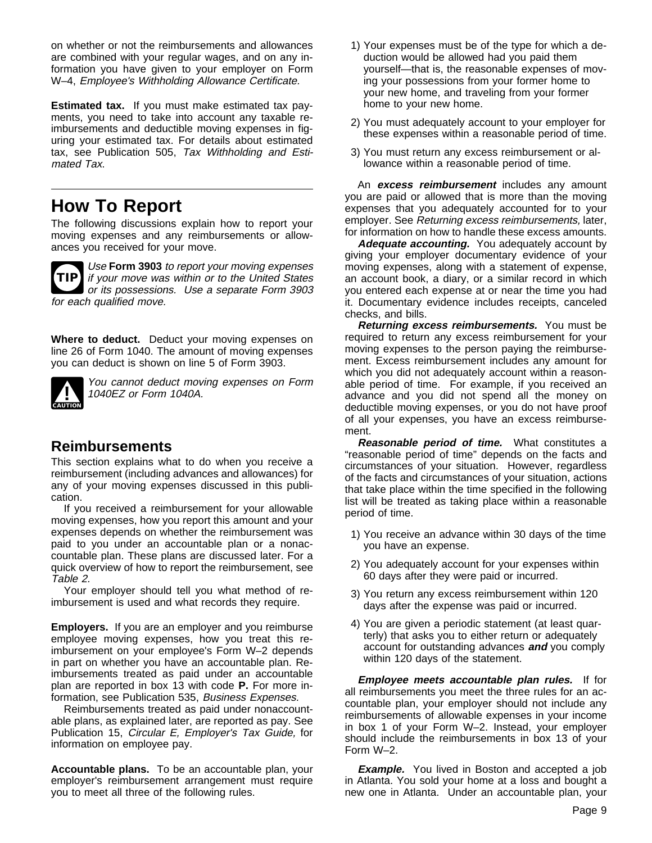on whether or not the reimbursements and allowances are combined with your regular wages, and on any information you have given to your employer on Form W–4, Employee's Withholding Allowance Certificate.

**Estimated tax.** If you must make estimated tax payments, you need to take into account any taxable reimbursements and deductible moving expenses in figuring your estimated tax. For details about estimated tax, see Publication 505, Tax Withholding and Estimated Tax.

## **How To Report**

The following discussions explain how to report your moving expenses and any reimbursements or allowances you received for your move.



**TIP** if your move was within or to the United States Use **Form 3903** to report your moving expenses or its possessions. Use a separate Form 3903 for each qualified move.

**Where to deduct.** Deduct your moving expenses on line 26 of Form 1040. The amount of moving expenses you can deduct is shown on line 5 of Form 3903.



**!** You cannot deduct moving expenses on Form 1040EZ or Form 1040A.

### **Reimbursements**

This section explains what to do when you receive a reimbursement (including advances and allowances) for any of your moving expenses discussed in this publication.

If you received a reimbursement for your allowable moving expenses, how you report this amount and your expenses depends on whether the reimbursement was paid to you under an accountable plan or a nonaccountable plan. These plans are discussed later. For a quick overview of how to report the reimbursement, see Table 2.

Your employer should tell you what method of reimbursement is used and what records they require.

**Employers.** If you are an employer and you reimburse employee moving expenses, how you treat this reimbursement on your employee's Form W–2 depends in part on whether you have an accountable plan. Reimbursements treated as paid under an accountable plan are reported in box 13 with code **P.** For more information, see Publication 535, Business Expenses.

Reimbursements treated as paid under nonaccountable plans, as explained later, are reported as pay. See Publication 15, Circular E, Employer's Tax Guide, for information on employee pay.

**Accountable plans.** To be an accountable plan, your employer's reimbursement arrangement must require you to meet all three of the following rules.

- 1) Your expenses must be of the type for which a deduction would be allowed had you paid them yourself—that is, the reasonable expenses of moving your possessions from your former home to your new home, and traveling from your former home to your new home.
- 2) You must adequately account to your employer for these expenses within a reasonable period of time.
- 3) You must return any excess reimbursement or allowance within a reasonable period of time.

An **excess reimbursement** includes any amount you are paid or allowed that is more than the moving expenses that you adequately accounted for to your employer. See Returning excess reimbursements, later, for information on how to handle these excess amounts.

**Adequate accounting.** You adequately account by giving your employer documentary evidence of your moving expenses, along with a statement of expense, an account book, a diary, or a similar record in which you entered each expense at or near the time you had it. Documentary evidence includes receipts, canceled checks, and bills.

**Returning excess reimbursements.** You must be required to return any excess reimbursement for your moving expenses to the person paying the reimbursement. Excess reimbursement includes any amount for which you did not adequately account within a reasonable period of time. For example, if you received an advance and you did not spend all the money on deductible moving expenses, or you do not have proof of all your expenses, you have an excess reimbursement.

**Reasonable period of time.** What constitutes a "reasonable period of time" depends on the facts and circumstances of your situation. However, regardless of the facts and circumstances of your situation, actions that take place within the time specified in the following list will be treated as taking place within a reasonable period of time.

- 1) You receive an advance within 30 days of the time you have an expense.
- 2) You adequately account for your expenses within 60 days after they were paid or incurred.
- 3) You return any excess reimbursement within 120 days after the expense was paid or incurred.
- 4) You are given a periodic statement (at least quarterly) that asks you to either return or adequately account for outstanding advances **and** you comply within 120 days of the statement.

**Employee meets accountable plan rules.** If for all reimbursements you meet the three rules for an accountable plan, your employer should not include any reimbursements of allowable expenses in your income in box 1 of your Form W–2. Instead, your employer should include the reimbursements in box 13 of your Form W–2.

**Example.** You lived in Boston and accepted a job in Atlanta. You sold your home at a loss and bought a new one in Atlanta. Under an accountable plan, your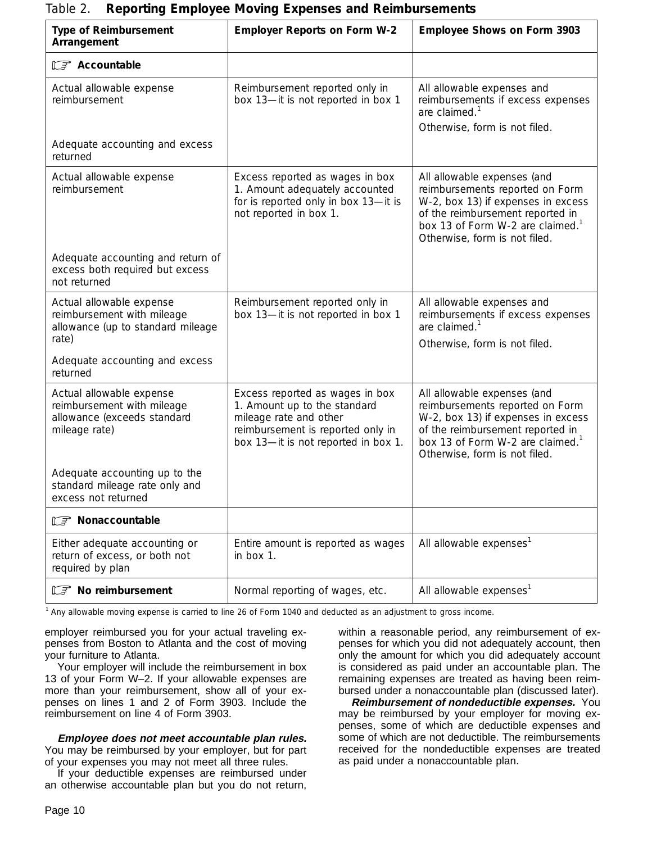|                                                                                                        | <b>Reporting Employee Moving Expenses and Reimbarsements</b>                                                                                                          |                                                                                                                                                                                                                           |
|--------------------------------------------------------------------------------------------------------|-----------------------------------------------------------------------------------------------------------------------------------------------------------------------|---------------------------------------------------------------------------------------------------------------------------------------------------------------------------------------------------------------------------|
| <b>Type of Reimbursement</b><br>Arrangement                                                            | <b>Employer Reports on Form W-2</b>                                                                                                                                   | Employee Shows on Form 3903                                                                                                                                                                                               |
| F Accountable                                                                                          |                                                                                                                                                                       |                                                                                                                                                                                                                           |
| Actual allowable expense<br>reimbursement                                                              | Reimbursement reported only in<br>box 13-it is not reported in box 1                                                                                                  | All allowable expenses and<br>reimbursements if excess expenses<br>are claimed. $1$<br>Otherwise, form is not filed.                                                                                                      |
| Adequate accounting and excess<br>returned                                                             |                                                                                                                                                                       |                                                                                                                                                                                                                           |
| Actual allowable expense<br>reimbursement                                                              | Excess reported as wages in box<br>1. Amount adequately accounted<br>for is reported only in box 13-it is<br>not reported in box 1.                                   | All allowable expenses (and<br>reimbursements reported on Form<br>W-2, box 13) if expenses in excess<br>of the reimbursement reported in<br>box 13 of Form W-2 are claimed. <sup>1</sup><br>Otherwise, form is not filed. |
| Adequate accounting and return of<br>excess both required but excess<br>not returned                   |                                                                                                                                                                       |                                                                                                                                                                                                                           |
| Actual allowable expense<br>reimbursement with mileage<br>allowance (up to standard mileage            | Reimbursement reported only in<br>box 13-it is not reported in box 1                                                                                                  | All allowable expenses and<br>reimbursements if excess expenses<br>are claimed. $1$                                                                                                                                       |
| rate)                                                                                                  |                                                                                                                                                                       | Otherwise, form is not filed.                                                                                                                                                                                             |
| Adequate accounting and excess<br>returned                                                             |                                                                                                                                                                       |                                                                                                                                                                                                                           |
| Actual allowable expense<br>reimbursement with mileage<br>allowance (exceeds standard<br>mileage rate) | Excess reported as wages in box<br>1. Amount up to the standard<br>mileage rate and other<br>reimbursement is reported only in<br>box 13-it is not reported in box 1. | All allowable expenses (and<br>reimbursements reported on Form<br>W-2, box 13) if expenses in excess<br>of the reimbursement reported in<br>box 13 of Form W-2 are claimed. <sup>1</sup><br>Otherwise, form is not filed. |
| Adequate accounting up to the<br>standard mileage rate only and<br>excess not returned                 |                                                                                                                                                                       |                                                                                                                                                                                                                           |
| <b>T</b> Nonaccountable                                                                                |                                                                                                                                                                       |                                                                                                                                                                                                                           |
| Either adequate accounting or<br>return of excess, or both not<br>required by plan                     | Entire amount is reported as wages<br>in box 1.                                                                                                                       | All allowable expenses <sup>1</sup>                                                                                                                                                                                       |
| <b>IF</b> No reimbursement                                                                             | Normal reporting of wages, etc.                                                                                                                                       | All allowable expenses <sup>1</sup>                                                                                                                                                                                       |

#### Table 2. **Reporting Employee Moving Expenses and Reimbursements**

<sup>1</sup> Any allowable moving expense is carried to line 26 of Form 1040 and deducted as an adjustment to gross income.

employer reimbursed you for your actual traveling expenses from Boston to Atlanta and the cost of moving your furniture to Atlanta.

Your employer will include the reimbursement in box 13 of your Form W–2. If your allowable expenses are more than your reimbursement, show all of your expenses on lines 1 and 2 of Form 3903. Include the reimbursement on line 4 of Form 3903.

**Employee does not meet accountable plan rules.** You may be reimbursed by your employer, but for part of your expenses you may not meet all three rules.

If your deductible expenses are reimbursed under an otherwise accountable plan but you do not return, within a reasonable period, any reimbursement of expenses for which you did not adequately account, then only the amount for which you did adequately account is considered as paid under an accountable plan. The remaining expenses are treated as having been reimbursed under a nonaccountable plan (discussed later).

**Reimbursement of nondeductible expenses.** You may be reimbursed by your employer for moving expenses, some of which are deductible expenses and some of which are not deductible. The reimbursements received for the nondeductible expenses are treated as paid under a nonaccountable plan.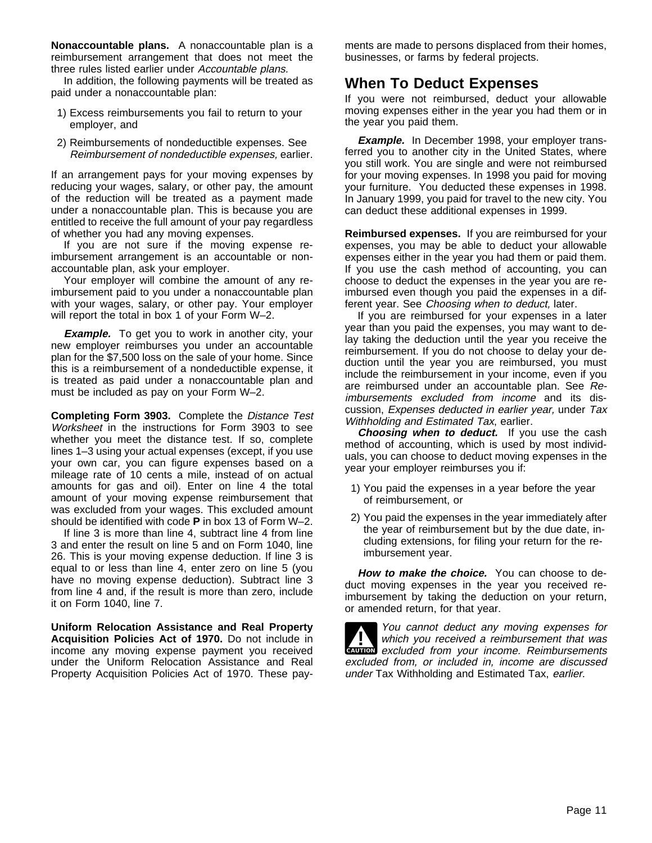**Nonaccountable plans.** A nonaccountable plan is a reimbursement arrangement that does not meet the three rules listed earlier under Accountable plans.

In addition, the following payments will be treated as paid under a nonaccountable plan:

- 1) Excess reimbursements you fail to return to your employer, and
- 2) Reimbursements of nondeductible expenses. See Reimbursement of nondeductible expenses, earlier.

If an arrangement pays for your moving expenses by reducing your wages, salary, or other pay, the amount of the reduction will be treated as a payment made under a nonaccountable plan. This is because you are entitled to receive the full amount of your pay regardless of whether you had any moving expenses.

If you are not sure if the moving expense reimbursement arrangement is an accountable or nonaccountable plan, ask your employer.

Your employer will combine the amount of any reimbursement paid to you under a nonaccountable plan with your wages, salary, or other pay. Your employer will report the total in box 1 of your Form W–2.

**Example.** To get you to work in another city, your new employer reimburses you under an accountable plan for the \$7,500 loss on the sale of your home. Since this is a reimbursement of a nondeductible expense, it is treated as paid under a nonaccountable plan and must be included as pay on your Form W–2.

**Completing Form 3903.** Complete the Distance Test Worksheet in the instructions for Form 3903 to see whether you meet the distance test. If so, complete lines 1–3 using your actual expenses (except, if you use your own car, you can figure expenses based on a mileage rate of 10 cents a mile, instead of on actual amounts for gas and oil). Enter on line 4 the total amount of your moving expense reimbursement that was excluded from your wages. This excluded amount should be identified with code **P** in box 13 of Form W–2.

If line 3 is more than line 4, subtract line 4 from line 3 and enter the result on line 5 and on Form 1040, line 26. This is your moving expense deduction. If line 3 is equal to or less than line 4, enter zero on line 5 (you have no moving expense deduction). Subtract line 3 from line 4 and, if the result is more than zero, include it on Form 1040, line 7.

**Uniform Relocation Assistance and Real Property Acquisition Policies Act of 1970.** Do not include in income any moving expense payment you received under the Uniform Relocation Assistance and Real Property Acquisition Policies Act of 1970. These payments are made to persons displaced from their homes, businesses, or farms by federal projects.

### **When To Deduct Expenses**

If you were not reimbursed, deduct your allowable moving expenses either in the year you had them or in the year you paid them.

**Example.** In December 1998, your employer transferred you to another city in the United States, where you still work. You are single and were not reimbursed for your moving expenses. In 1998 you paid for moving your furniture. You deducted these expenses in 1998. In January 1999, you paid for travel to the new city. You can deduct these additional expenses in 1999.

**Reimbursed expenses.** If you are reimbursed for your expenses, you may be able to deduct your allowable expenses either in the year you had them or paid them. If you use the cash method of accounting, you can choose to deduct the expenses in the year you are reimbursed even though you paid the expenses in a different year. See Choosing when to deduct, later.

If you are reimbursed for your expenses in a later year than you paid the expenses, you may want to delay taking the deduction until the year you receive the reimbursement. If you do not choose to delay your deduction until the year you are reimbursed, you must include the reimbursement in your income, even if you are reimbursed under an accountable plan. See Reimbursements excluded from income and its discussion, Expenses deducted in earlier year, under Tax Withholding and Estimated Tax, earlier.

**Choosing when to deduct.** If you use the cash method of accounting, which is used by most individuals, you can choose to deduct moving expenses in the year your employer reimburses you if:

- 1) You paid the expenses in a year before the year of reimbursement, or
- 2) You paid the expenses in the year immediately after the year of reimbursement but by the due date, including extensions, for filing your return for the reimbursement year.

**How to make the choice.** You can choose to deduct moving expenses in the year you received reimbursement by taking the deduction on your return, or amended return, for that year.

**CAUTION** excluded from your income. Reimbursements **!** You cannot deduct any moving expenses for<br>which you received a reimbursement that was excluded from, or included in, income are discussed under Tax Withholding and Estimated Tax, earlier.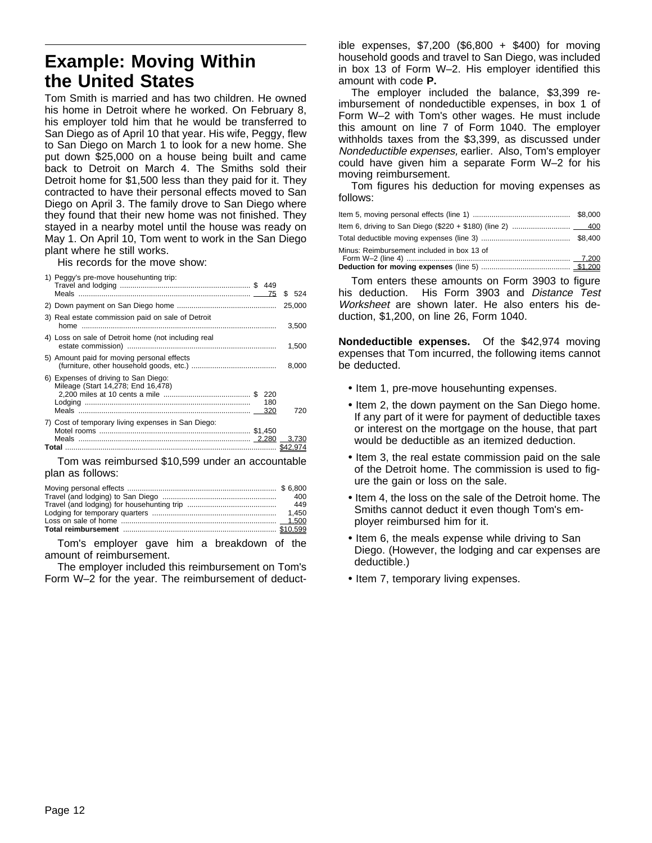# **Example: Moving Within the United States**

Tom Smith is married and has two children. He owned his home in Detroit where he worked. On February 8, his employer told him that he would be transferred to San Diego as of April 10 that year. His wife, Peggy, flew to San Diego on March 1 to look for a new home. She put down \$25,000 on a house being built and came back to Detroit on March 4. The Smiths sold their Detroit home for \$1,500 less than they paid for it. They contracted to have their personal effects moved to San Diego on April 3. The family drove to San Diego where they found that their new home was not finished. They stayed in a nearby motel until the house was ready on May 1. On April 10, Tom went to work in the San Diego plant where he still works.

His records for the move show:

| 25,000<br>3) Real estate commission paid on sale of Detroit<br>3,500<br>4) Loss on sale of Detroit home (not including real<br>1,500<br>5) Amount paid for moving personal effects<br>8.000<br>6) Expenses of driving to San Diego:<br>Mileage (Start 14.278: End 16.478)<br>220<br>180<br>720<br>7) Cost of temporary living expenses in San Diego:<br>\$42.974 | 1) Peggy's pre-move househunting trip: |  | \$524 |
|------------------------------------------------------------------------------------------------------------------------------------------------------------------------------------------------------------------------------------------------------------------------------------------------------------------------------------------------------------------|----------------------------------------|--|-------|
|                                                                                                                                                                                                                                                                                                                                                                  |                                        |  |       |
|                                                                                                                                                                                                                                                                                                                                                                  |                                        |  |       |
|                                                                                                                                                                                                                                                                                                                                                                  |                                        |  |       |
|                                                                                                                                                                                                                                                                                                                                                                  |                                        |  |       |
|                                                                                                                                                                                                                                                                                                                                                                  |                                        |  |       |
|                                                                                                                                                                                                                                                                                                                                                                  |                                        |  |       |
|                                                                                                                                                                                                                                                                                                                                                                  |                                        |  |       |

Tom was reimbursed \$10,599 under an accountable plan as follows:

| - 400 |
|-------|
|       |
|       |
|       |
|       |

Tom's employer gave him a breakdown of the amount of reimbursement.

The employer included this reimbursement on Tom's Form W–2 for the year. The reimbursement of deductible expenses, \$7,200 (\$6,800 + \$400) for moving household goods and travel to San Diego, was included in box 13 of Form W–2. His employer identified this amount with code **P.**

The employer included the balance, \$3,399 reimbursement of nondeductible expenses, in box 1 of Form W–2 with Tom's other wages. He must include this amount on line 7 of Form 1040. The employer withholds taxes from the \$3,399, as discussed under Nondeductible expenses, earlier. Also, Tom's employer could have given him a separate Form W–2 for his moving reimbursement.

Tom figures his deduction for moving expenses as follows:

| Minus: Reimbursement included in box 13 of |  |
|--------------------------------------------|--|
|                                            |  |

Tom enters these amounts on Form 3903 to figure his deduction. His Form 3903 and Distance Test Worksheet are shown later. He also enters his deduction, \$1,200, on line 26, Form 1040.

**Nondeductible expenses.** Of the \$42,974 moving expenses that Tom incurred, the following items cannot be deducted.

- Item 1, pre-move househunting expenses.
- Item 2, the down payment on the San Diego home. If any part of it were for payment of deductible taxes or interest on the mortgage on the house, that part would be deductible as an itemized deduction.
- Item 3, the real estate commission paid on the sale of the Detroit home. The commission is used to figure the gain or loss on the sale.
- Item 4, the loss on the sale of the Detroit home. The Smiths cannot deduct it even though Tom's employer reimbursed him for it.
- Item 6, the meals expense while driving to San Diego. (However, the lodging and car expenses are deductible.)
- Item 7, temporary living expenses.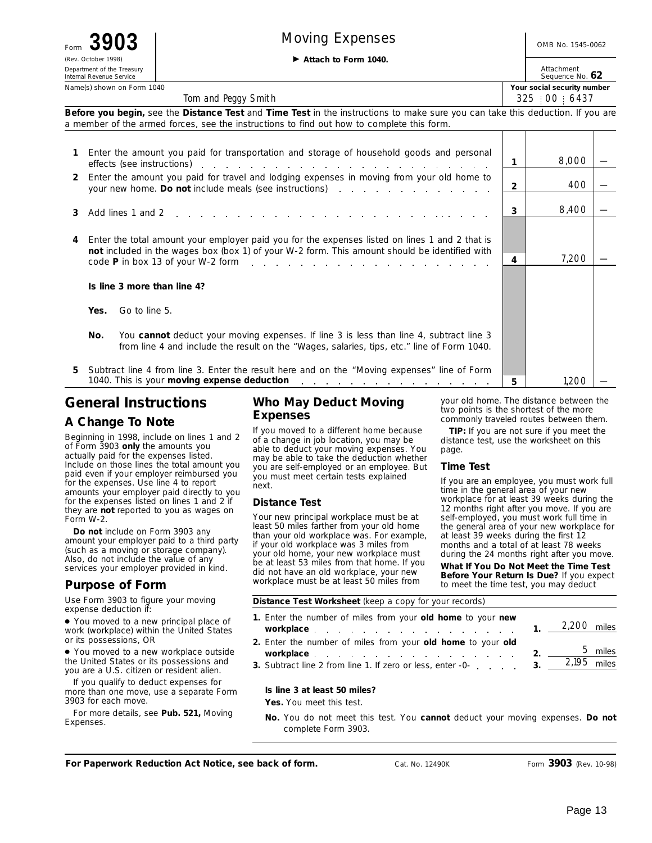| $\boldsymbol{\mathcal{A}}$<br>Form |
|------------------------------------|
| (Rev. October 1998)                |
| Department of the Treasury         |
| Internal Revenue Service           |

# Form  $3903$  | Moving Expenses | OMB No. 1545-0062

© **Attach to Form 1040.**

Attachment Sequence No. **62**

| Name(s) shown on Form 1040 | Your social security number |
|----------------------------|-----------------------------|
|                            |                             |

325 00 6437

**Before you begin,** see the **Distance Test** and **Time Test** in the instructions to make sure you can take this deduction. If you are a member of the armed forces, see the instructions to find out how to complete this form.

Tom and Peggy Smith

|    | Enter the amount you paid for transportation and storage of household goods and personal                                                                                                                                                                                                                                    |                | 8.000 |  |
|----|-----------------------------------------------------------------------------------------------------------------------------------------------------------------------------------------------------------------------------------------------------------------------------------------------------------------------------|----------------|-------|--|
| 2  | effects (see instructions) entertainment and the set of the set of the set of the set of the set of the set of the set of the set of the set of the set of the set of the set of the set of the set of the set of the set of t<br>Enter the amount you paid for travel and lodging expenses in moving from your old home to |                |       |  |
|    |                                                                                                                                                                                                                                                                                                                             | $\overline{2}$ | 400   |  |
| 3  | Add lines 1 and 2 response to the contract of the contract of the contract of the contract of the contract of the contract of the contract of the contract of the contract of the contract of the contract of the contract of                                                                                               | 3              | 8,400 |  |
|    |                                                                                                                                                                                                                                                                                                                             |                |       |  |
|    | Enter the total amount your employer paid you for the expenses listed on lines 1 and 2 that is<br>not included in the wages box (box 1) of your W-2 form. This amount should be identified with                                                                                                                             |                |       |  |
|    | code P in box 13 of your W-2 form enterstanding to the entertainment of P in box 13 of your W-2 form entertainment of the P in box                                                                                                                                                                                          | 4              | 7,200 |  |
|    | Is line 3 more than line 4?                                                                                                                                                                                                                                                                                                 |                |       |  |
|    | Go to line 5.<br>Yes.                                                                                                                                                                                                                                                                                                       |                |       |  |
|    | You cannot deduct your moving expenses. If line 3 is less than line 4, subtract line 3<br>No.<br>from line 4 and include the result on the "Wages, salaries, tips, etc." line of Form 1040.                                                                                                                                 |                |       |  |
| 5. | Subtract line 4 from line 3. Enter the result here and on the "Moving expenses" line of Form                                                                                                                                                                                                                                |                |       |  |
|    | 1040. This is your moving expense deduction<br>the contract of the contract of the contract of the contract of                                                                                                                                                                                                              | 5.             | 1.20C |  |

## **General Instructions**

#### **A Change To Note**

Beginning in 1998, include on lines 1 and 2 of Form 3903 **only** the amounts you actually paid for the expenses listed. Include on those lines the total amount you paid even if your employer reimbursed you for the expenses. Use line 4 to report amounts your employer paid directly to you for the expenses listed on lines 1 and 2 if they are **not** reported to you as wages on Form W-2.

**Do not** include on Form 3903 any amount your employer paid to a third party (such as a moving or storage company). Also, do not include the value of any services your employer provided in kind.

### **Purpose of Form**

Use Form 3903 to figure your moving expense deduction if:

● You moved to a new principal place of work (workplace) within the United States or its possessions, OR

● You moved to a new workplace outside the United States or its possessions and you are a U.S. citizen or resident alien.

If you qualify to deduct expenses for more than one move, use a separate Form 3903 for each move.

For more details, see **Pub. 521,** Moving Expenses.

#### **Who May Deduct Moving Expenses**

If you moved to a different home because of a change in job location, you may be able to deduct your moving expenses. You may be able to take the deduction whether you are self-employed or an employee. But you must meet certain tests explained next.

#### **Distance Test**

Your new principal workplace must be at least 50 miles farther from your old home than your old workplace was. For example, if your old workplace was 3 miles from your old home, your new workplace must be at least 53 miles from that home. If you did not have an old workplace, your new workplace must be at least 50 miles from

your old home. The distance between the two points is the shortest of the more commonly traveled routes between them.

**TIP:** *If you are not sure if you meet the distance test, use the worksheet on this page.*

#### **Time Test**

If you are an employee, you must work full time in the general area of your new workplace for at least 39 weeks during the 12 months right after you move. If you are self-employed, you must work full time in the general area of your new workplace for at least 39 weeks during the first 12 months and a total of at least 78 weeks during the 24 months right after you move.

**What If You Do Not Meet the Time Test Before Your Return Is Due?** If you expect to meet the time test, you may deduct

#### **Distance Test Worksheet** (keep a copy for your records)

| 1. Enter the number of miles from your old home to your new<br><b>workplace</b> 1. $2,200$ miles             |  |  |
|--------------------------------------------------------------------------------------------------------------|--|--|
| 2. Enter the number of miles from your old home to your old                                                  |  |  |
| workplace 2. $\frac{5 \text{ miles}}{2}$                                                                     |  |  |
| 3. Subtract line 2 from line 1. If zero or less, enter -0- $\ldots$ $\ldots$ 3. $\frac{2,195}{\ldots}$ miles |  |  |

#### **Is line 3 at least 50 miles?**

**Yes.** You meet this test.

**No.** You do not meet this test. You **cannot** deduct your moving expenses. **Do not** complete Form 3903.

**For Paperwork Reduction Act Notice, see back of form.** Cat. No. 12490K Form **3903** (Rev. 10-98)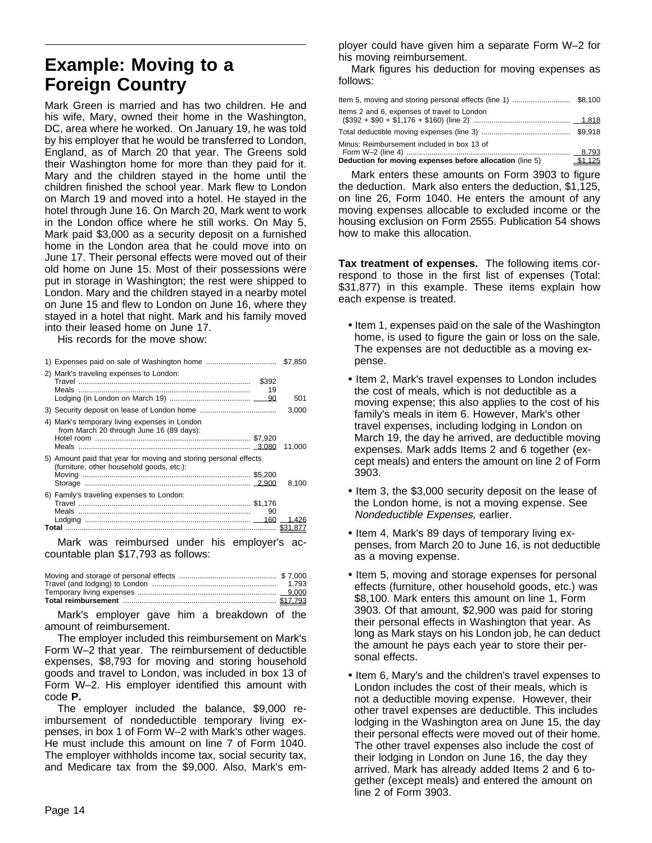# **Example: Moving to a Foreign Country**

Mark Green is married and has two children. He and his wife, Mary, owned their home in the Washington, DC, area where he worked. On January 19, he was told by his employer that he would be transferred to London, England, as of March 20 that year. The Greens sold their Washington home for more than they paid for it. Mary and the children stayed in the home until the children finished the school year. Mark flew to London on March 19 and moved into a hotel. He stayed in the hotel through June 16. On March 20, Mark went to work in the London office where he still works. On May 5, Mark paid \$3,000 as a security deposit on a furnished home in the London area that he could move into on June 17. Their personal effects were moved out of their old home on June 15. Most of their possessions were put in storage in Washington; the rest were shipped to London. Mary and the children stayed in a nearby motel on June 15 and flew to London on June 16, where they stayed in a hotel that night. Mark and his family moved into their leased home on June 17.

His records for the move show:

|                                                                                                               |             | \$7,850 |
|---------------------------------------------------------------------------------------------------------------|-------------|---------|
| 2) Mark's traveling expenses to London:                                                                       | \$392<br>19 | 501     |
|                                                                                                               |             | 3,000   |
| 4) Mark's temporary living expenses in London<br>from March 20 through June 16 (89 days):                     |             | 11.000  |
| 5) Amount paid that year for moving and storing personal effects<br>(furniture, other household goods, etc.): |             | 8.100   |
| 6) Family's traveling expenses to London:                                                                     | 90          | 1.426   |
|                                                                                                               |             |         |

Mark was reimbursed under his employer's accountable plan \$17,793 as follows:

Mark's employer gave him a breakdown of the amount of reimbursement.

The employer included this reimbursement on Mark's Form W–2 that year. The reimbursement of deductible expenses, \$8,793 for moving and storing household goods and travel to London, was included in box 13 of Form W–2. His employer identified this amount with code **P.**

The employer included the balance, \$9,000 reimbursement of nondeductible temporary living expenses, in box 1 of Form W–2 with Mark's other wages. He must include this amount on line 7 of Form 1040. The employer withholds income tax, social security tax, and Medicare tax from the \$9,000. Also, Mark's employer could have given him a separate Form W–2 for his moving reimbursement.

Mark figures his deduction for moving expenses as follows:

| tem 5, moving and storing personal effects (line 1) \$8,100 |         |
|-------------------------------------------------------------|---------|
| Items 2 and 6, expenses of travel to London                 |         |
|                                                             |         |
| Minus: Reimbursement included in box 13 of                  |         |
| Deduction for moving expenses before allocation (line 5)    | \$1.125 |

Mark enters these amounts on Form 3903 to figure the deduction. Mark also enters the deduction, \$1,125, on line 26, Form 1040. He enters the amount of any moving expenses allocable to excluded income or the housing exclusion on Form 2555. Publication 54 shows how to make this allocation.

**Tax treatment of expenses.** The following items correspond to those in the first list of expenses (Total: \$31,877) in this example. These items explain how each expense is treated.

- Item 1, expenses paid on the sale of the Washington home, is used to figure the gain or loss on the sale. The expenses are not deductible as a moving expense.
- Item 2, Mark's travel expenses to London includes the cost of meals, which is not deductible as a moving expense; this also applies to the cost of his family's meals in item 6. However, Mark's other travel expenses, including lodging in London on March 19, the day he arrived, are deductible moving expenses. Mark adds Items 2 and 6 together (except meals) and enters the amount on line 2 of Form 3903.
- Item 3, the \$3,000 security deposit on the lease of the London home, is not a moving expense. See Nondeductible Expenses, earlier.
- Item 4, Mark's 89 days of temporary living expenses, from March 20 to June 16, is not deductible as a moving expense.
- Item 5, moving and storage expenses for personal effects (furniture, other household goods, etc.) was \$8,100. Mark enters this amount on line 1, Form 3903. Of that amount, \$2,900 was paid for storing their personal effects in Washington that year. As long as Mark stays on his London job, he can deduct the amount he pays each year to store their personal effects.
- Item 6, Mary's and the children's travel expenses to London includes the cost of their meals, which is not a deductible moving expense. However, their other travel expenses are deductible. This includes lodging in the Washington area on June 15, the day their personal effects were moved out of their home. The other travel expenses also include the cost of their lodging in London on June 16, the day they arrived. Mark has already added Items 2 and 6 together (except meals) and entered the amount on line 2 of Form 3903.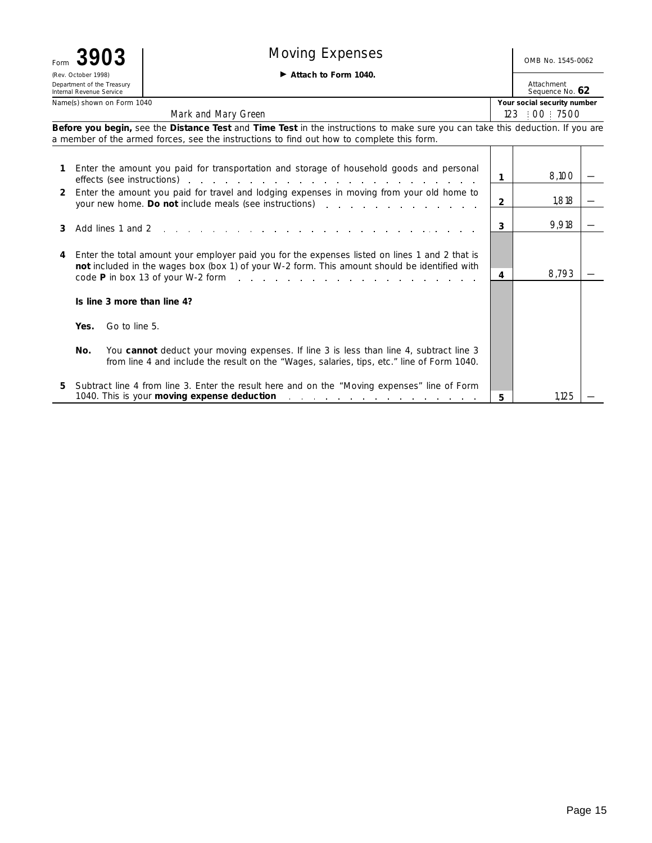| Form | 3903                                                                          | <b>Moving Expenses</b>                                                                                                                                                                                                                                                                                                     |   | OMB No. 1545-0062           |  |
|------|-------------------------------------------------------------------------------|----------------------------------------------------------------------------------------------------------------------------------------------------------------------------------------------------------------------------------------------------------------------------------------------------------------------------|---|-----------------------------|--|
|      | (Rev. October 1998)<br>Department of the Treasury<br>Internal Revenue Service | Attachment<br>Sequence No. 62                                                                                                                                                                                                                                                                                              |   |                             |  |
|      | Name(s) shown on Form 1040                                                    |                                                                                                                                                                                                                                                                                                                            |   | Your social security number |  |
|      |                                                                               | Mark and Mary Green                                                                                                                                                                                                                                                                                                        |   | 123   00   7500             |  |
|      |                                                                               | Before you begin, see the Distance Test and Time Test in the instructions to make sure you can take this deduction. If you are<br>a member of the armed forces, see the instructions to find out how to complete this form.                                                                                                |   |                             |  |
|      |                                                                               | Enter the amount you paid for transportation and storage of household goods and personal<br>effects (see instructions) enters and a series and a series of the series of the series of the series of the series of the series of the series of the series of the series of the series of the series of the series of the s |   | 8,100                       |  |
| 2    |                                                                               | Enter the amount you paid for travel and lodging expenses in moving from your old home to<br>your new home. Do not include meals (see instructions)                                                                                                                                                                        | 2 | 1,818                       |  |
| 3    | Add lines 1 and 2                                                             |                                                                                                                                                                                                                                                                                                                            | 3 | 9,918                       |  |
| 4    |                                                                               | Enter the total amount your employer paid you for the expenses listed on lines 1 and 2 that is<br>not included in the wages box (box 1) of your W-2 form. This amount should be identified with<br>$\overline{P}$ in hox 13 of your W-2 form                                                                               | 4 | 8,793                       |  |

5 Subtract line 4 from line 3. Enter the result here and on the "Moving expenses" line of Form 1040. This is your **moving expense deduction**

You cannot deduct your moving expenses. If line 3 is less than line 4, subtract line 3 from line 4 and include the result on the "Wages, salaries, tips, etc." line of Form 1040.

code **P** in box 13 of your W-2 form

**Is line 3 more than line 4?**

Go to line 5.

**Yes.**

**No.**

1,125

**5**

 $\mathbf{r}$  $\mathbb{R}^2$  —

—